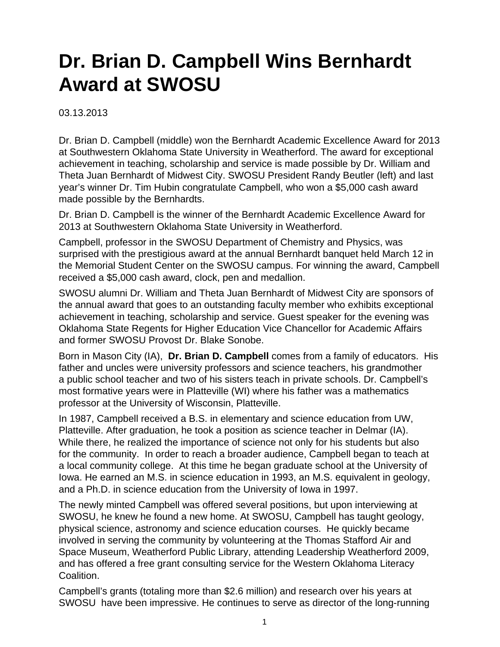## **Dr. Brian D. Campbell Wins Bernhardt Award at SWOSU**

03.13.2013

Dr. Brian D. Campbell (middle) won the Bernhardt Academic Excellence Award for 2013 at Southwestern Oklahoma State University in Weatherford. The award for exceptional achievement in teaching, scholarship and service is made possible by Dr. William and Theta Juan Bernhardt of Midwest City. SWOSU President Randy Beutler (left) and last year's winner Dr. Tim Hubin congratulate Campbell, who won a \$5,000 cash award made possible by the Bernhardts.

Dr. Brian D. Campbell is the winner of the Bernhardt Academic Excellence Award for 2013 at Southwestern Oklahoma State University in Weatherford.

Campbell, professor in the SWOSU Department of Chemistry and Physics, was surprised with the prestigious award at the annual Bernhardt banquet held March 12 in the Memorial Student Center on the SWOSU campus. For winning the award, Campbell received a \$5,000 cash award, clock, pen and medallion.

SWOSU alumni Dr. William and Theta Juan Bernhardt of Midwest City are sponsors of the annual award that goes to an outstanding faculty member who exhibits exceptional achievement in teaching, scholarship and service. Guest speaker for the evening was Oklahoma State Regents for Higher Education Vice Chancellor for Academic Affairs and former SWOSU Provost Dr. Blake Sonobe.

Born in Mason City (IA), **Dr. Brian D. Campbell** comes from a family of educators. His father and uncles were university professors and science teachers, his grandmother a public school teacher and two of his sisters teach in private schools. Dr. Campbell's most formative years were in Platteville (WI) where his father was a mathematics professor at the University of Wisconsin, Platteville.

In 1987, Campbell received a B.S. in elementary and science education from UW, Platteville. After graduation, he took a position as science teacher in Delmar (IA). While there, he realized the importance of science not only for his students but also for the community. In order to reach a broader audience, Campbell began to teach at a local community college. At this time he began graduate school at the University of Iowa. He earned an M.S. in science education in 1993, an M.S. equivalent in geology, and a Ph.D. in science education from the University of Iowa in 1997.

The newly minted Campbell was offered several positions, but upon interviewing at SWOSU, he knew he found a new home. At SWOSU, Campbell has taught geology, physical science, astronomy and science education courses. He quickly became involved in serving the community by volunteering at the Thomas Stafford Air and Space Museum, Weatherford Public Library, attending Leadership Weatherford 2009, and has offered a free grant consulting service for the Western Oklahoma Literacy Coalition.

Campbell's grants (totaling more than \$2.6 million) and research over his years at SWOSU have been impressive. He continues to serve as director of the long-running